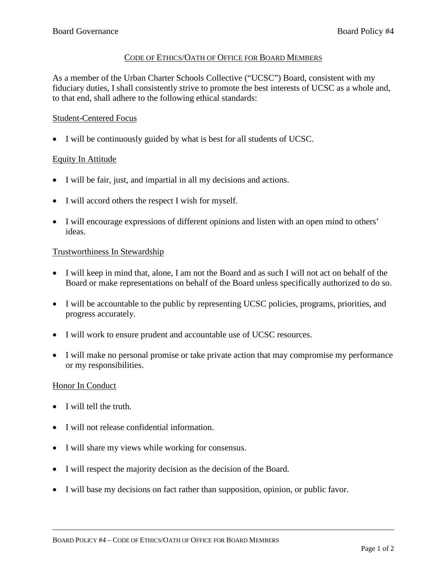#### CODE OF ETHICS/OATH OF OFFICE FOR BOARD MEMBERS

As a member of the Urban Charter Schools Collective ("UCSC") Board, consistent with my fiduciary duties, I shall consistently strive to promote the best interests of UCSC as a whole and, to that end, shall adhere to the following ethical standards:

# Student-Centered Focus

• I will be continuously guided by what is best for all students of UCSC.

#### Equity In Attitude

- I will be fair, just, and impartial in all my decisions and actions.
- I will accord others the respect I wish for myself.
- I will encourage expressions of different opinions and listen with an open mind to others' ideas.

#### Trustworthiness In Stewardship

- I will keep in mind that, alone, I am not the Board and as such I will not act on behalf of the Board or make representations on behalf of the Board unless specifically authorized to do so.
- I will be accountable to the public by representing UCSC policies, programs, priorities, and progress accurately.
- I will work to ensure prudent and accountable use of UCSC resources.
- I will make no personal promise or take private action that may compromise my performance or my responsibilities.

#### Honor In Conduct

- I will tell the truth.
- I will not release confidential information.
- I will share my views while working for consensus.
- I will respect the majority decision as the decision of the Board.
- I will base my decisions on fact rather than supposition, opinion, or public favor.